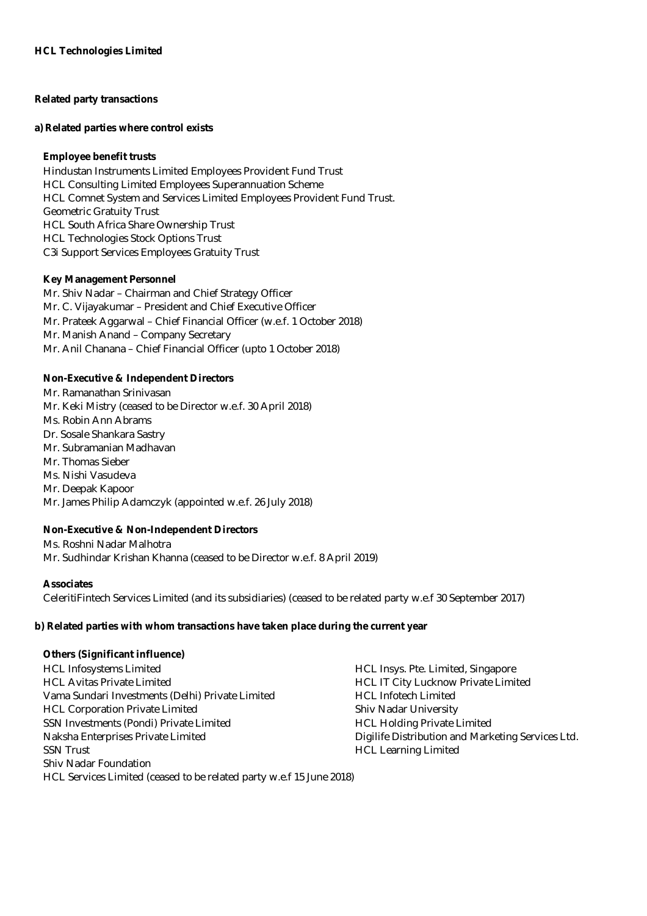## **Related party transactions**

#### **a) Related parties where control exists**

### **Employee benefit trusts**

Hindustan Instruments Limited Employees Provident Fund Trust HCL Consulting Limited Employees Superannuation Scheme HCL Comnet System and Services Limited Employees Provident Fund Trust. Geometric Gratuity Trust HCL South Africa Share Ownership Trust HCL Technologies Stock Options Trust C3i Support Services Employees Gratuity Trust

### **Key Management Personnel**

Mr. Shiv Nadar – Chairman and Chief Strategy Officer Mr. C. Vijayakumar – President and Chief Executive Officer Mr. Prateek Aggarwal – Chief Financial Officer (w.e.f. 1 October 2018) Mr. Manish Anand – Company Secretary Mr. Anil Chanana – Chief Financial Officer (upto 1 October 2018)

## **Non-Executive & Independent Directors**

Mr. Ramanathan Srinivasan Mr. Keki Mistry (ceased to be Director w.e.f. 30 April 2018) Ms. Robin Ann Abrams Dr. Sosale Shankara Sastry Mr. Subramanian Madhavan Mr. Thomas Sieber Ms. Nishi Vasudeva Mr. Deepak Kapoor Mr. James Philip Adamczyk (appointed w.e.f. 26 July 2018)

# **Non-Executive & Non-Independent Directors**

Ms. Roshni Nadar Malhotra Mr. Sudhindar Krishan Khanna (ceased to be Director w.e.f. 8 April 2019)

### **Associates**

CeleritiFintech Services Limited (and its subsidiaries) (ceased to be related party w.e.f 30 September 2017)

### **b) Related parties with whom transactions have taken place during the current year**

### **Others (Significant influence)**

| <b>HCL Infosystems Limited</b>                                       | HCL Insys. Pte. Limited, Singapore                |
|----------------------------------------------------------------------|---------------------------------------------------|
| <b>HCL Avitas Private Limited</b>                                    | HCL IT City Lucknow Private Limited               |
| Vama Sundari Investments (Delhi) Private Limited                     | <b>HCL Infotech Limited</b>                       |
| <b>HCL Corporation Private Limited</b>                               | <b>Shiv Nadar University</b>                      |
| SSN Investments (Pondi) Private Limited                              | <b>HCL Holding Private Limited</b>                |
| Naksha Enterprises Private Limited                                   | Digilife Distribution and Marketing Services Ltd. |
| <b>SSN Trust</b>                                                     | <b>HCL Learning Limited</b>                       |
| <b>Shiv Nadar Foundation</b>                                         |                                                   |
| HCL Services Limited (ceased to be related party w.e.f 15 June 2018) |                                                   |